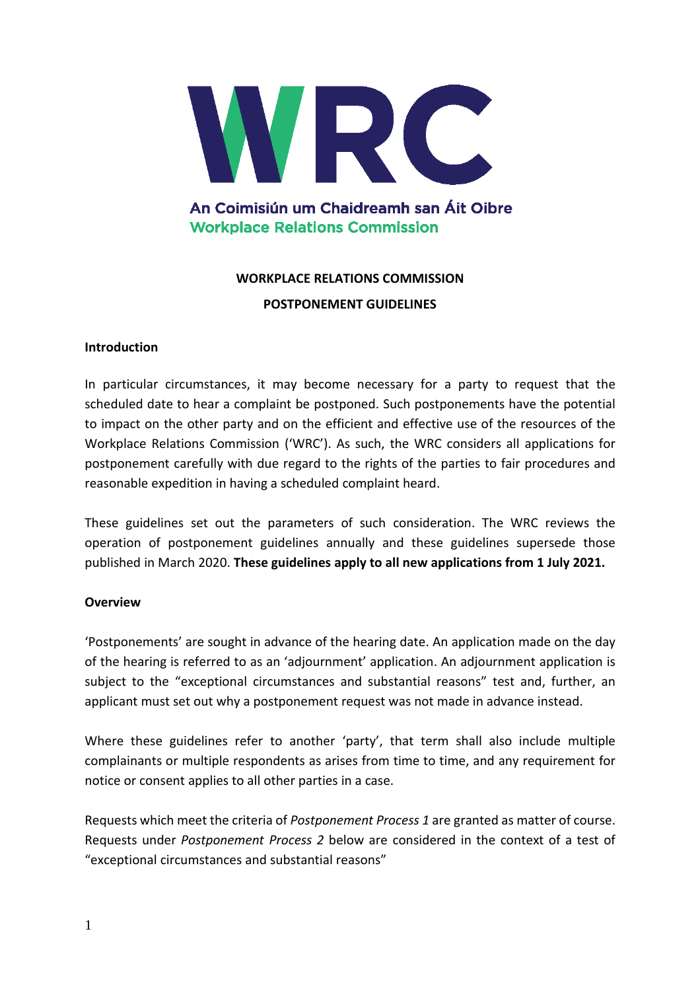

# An Coimisiún um Chaidreamh san Áit Oibre **Workplace Relations Commission**

# **WORKPLACE RELATIONS COMMISSION**

#### **POSTPONEMENT GUIDELINES**

### **Introduction**

In particular circumstances, it may become necessary for a party to request that the scheduled date to hear a complaint be postponed. Such postponements have the potential to impact on the other party and on the efficient and effective use of the resources of the Workplace Relations Commission ('WRC'). As such, the WRC considers all applications for postponement carefully with due regard to the rights of the parties to fair procedures and reasonable expedition in having a scheduled complaint heard.

These guidelines set out the parameters of such consideration. The WRC reviews the operation of postponement guidelines annually and these guidelines supersede those published in March 2020. **These guidelines apply to all new applications from 1 July 2021.**

### **Overview**

'Postponements' are sought in advance of the hearing date. An application made on the day of the hearing is referred to as an 'adjournment' application. An adjournment application is subject to the "exceptional circumstances and substantial reasons" test and, further, an applicant must set out why a postponement request was not made in advance instead.

Where these guidelines refer to another 'party', that term shall also include multiple complainants or multiple respondents as arises from time to time, and any requirement for notice or consent applies to all other parties in a case.

Requests which meet the criteria of *Postponement Process 1* are granted as matter of course. Requests under *Postponement Process 2* below are considered in the context of a test of "exceptional circumstances and substantial reasons"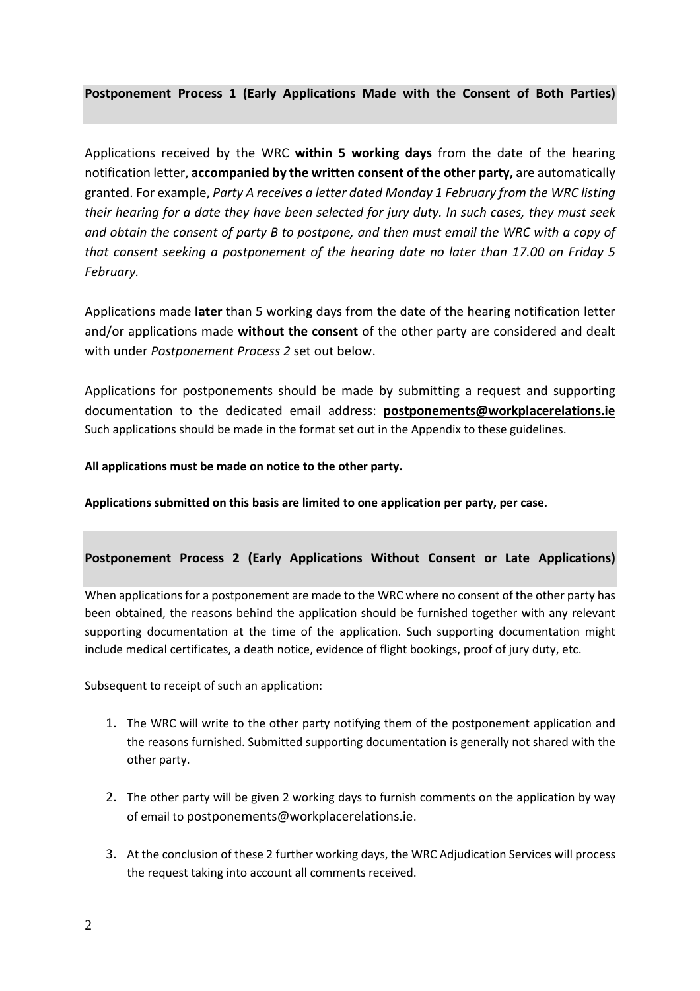### **Postponement Process 1 (Early Applications Made with the Consent of Both Parties)**

Applications received by the WRC **within 5 working days** from the date of the hearing notification letter, **accompanied by the written consent of the other party,** are automatically granted. For example, *Party A receives a letter dated Monday 1 February from the WRC listing their hearing for a date they have been selected for jury duty. In such cases, they must seek and obtain the consent of party B to postpone, and then must email the WRC with a copy of that consent seeking a postponement of the hearing date no later than 17.00 on Friday 5 February.*

Applications made **later** than 5 working days from the date of the hearing notification letter and/or applications made **without the consent** of the other party are considered and dealt with under *Postponement Process 2* set out below.

Applications for postponements should be made by submitting a request and supporting documentation to the dedicated email address: **[postponements@workplacerelations.ie](mailto:postponements@workplacerelations.ie)**  Such applications should be made in the format set out in the Appendix to these guidelines.

#### **All applications must be made on notice to the other party.**

**Applications submitted on this basis are limited to one application per party, per case.**

#### **Postponement Process 2 (Early Applications Without Consent or Late Applications)**

When applications for a postponement are made to the WRC where no consent of the other party has been obtained, the reasons behind the application should be furnished together with any relevant supporting documentation at the time of the application. Such supporting documentation might include medical certificates, a death notice, evidence of flight bookings, proof of jury duty, etc.

Subsequent to receipt of such an application:

- 1. The WRC will write to the other party notifying them of the postponement application and the reasons furnished. Submitted supporting documentation is generally not shared with the other party.
- 2. The other party will be given 2 working days to furnish comments on the application by way of email to [postponements@workplacerelations.ie](mailto:postponements@workplacerelations.ie).
- 3. At the conclusion of these 2 further working days, the WRC Adjudication Services will process the request taking into account all comments received.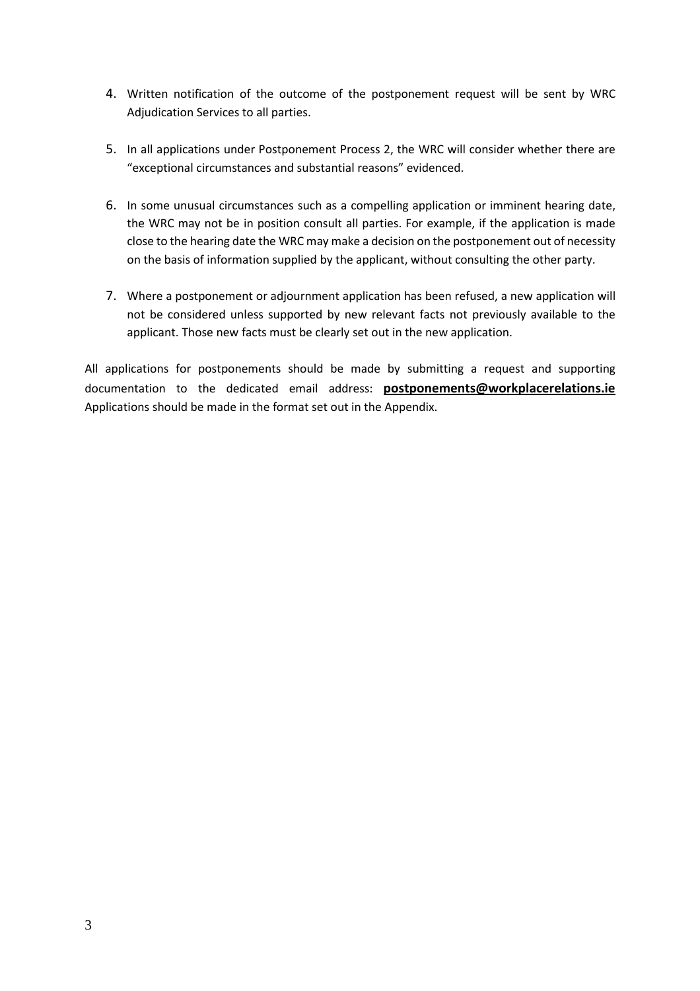- 4. Written notification of the outcome of the postponement request will be sent by WRC Adjudication Services to all parties.
- 5. In all applications under Postponement Process 2, the WRC will consider whether there are "exceptional circumstances and substantial reasons" evidenced.
- 6. In some unusual circumstances such as a compelling application or imminent hearing date, the WRC may not be in position consult all parties. For example, if the application is made close to the hearing date the WRC may make a decision on the postponement out of necessity on the basis of information supplied by the applicant, without consulting the other party.
- 7. Where a postponement or adjournment application has been refused, a new application will not be considered unless supported by new relevant facts not previously available to the applicant. Those new facts must be clearly set out in the new application.

All applications for postponements should be made by submitting a request and supporting documentation to the dedicated email address: **[postponements@workplacerelations.ie](mailto:postponements@workplacerelations.ie)** Applications should be made in the format set out in the Appendix.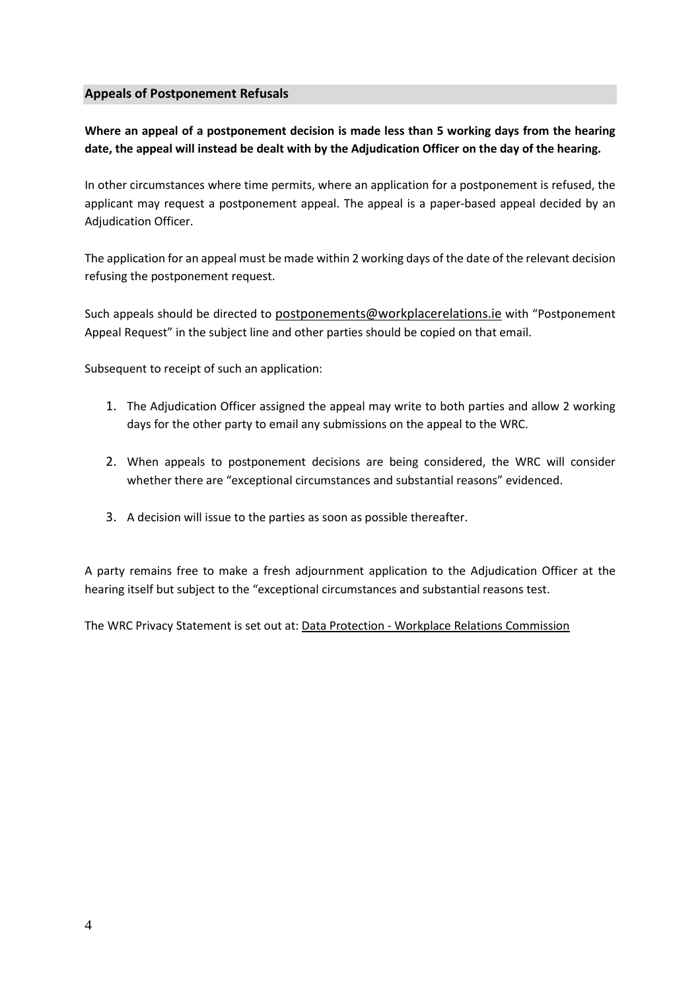#### **Appeals of Postponement Refusals**

**Where an appeal of a postponement decision is made less than 5 working days from the hearing date, the appeal will instead be dealt with by the Adjudication Officer on the day of the hearing.**

In other circumstances where time permits, where an application for a postponement is refused, the applicant may request a postponement appeal. The appeal is a paper-based appeal decided by an Adjudication Officer.

The application for an appeal must be made within 2 working days of the date of the relevant decision refusing the postponement request.

Such appeals should be directed to [postponements@workplacerelations.ie](mailto:postponements@workplacerelations.ie) with "Postponement Appeal Request" in the subject line and other parties should be copied on that email.

Subsequent to receipt of such an application:

- 1. The Adjudication Officer assigned the appeal may write to both parties and allow 2 working days for the other party to email any submissions on the appeal to the WRC.
- 2. When appeals to postponement decisions are being considered, the WRC will consider whether there are "exceptional circumstances and substantial reasons" evidenced.
- 3. A decision will issue to the parties as soon as possible thereafter.

A party remains free to make a fresh adjournment application to the Adjudication Officer at the hearing itself but subject to the "exceptional circumstances and substantial reasons test.

The WRC Privacy Statement is set out at: Data Protection - Workplace Relations [Commission](https://www.workplacerelations.ie/en/data_protection/)